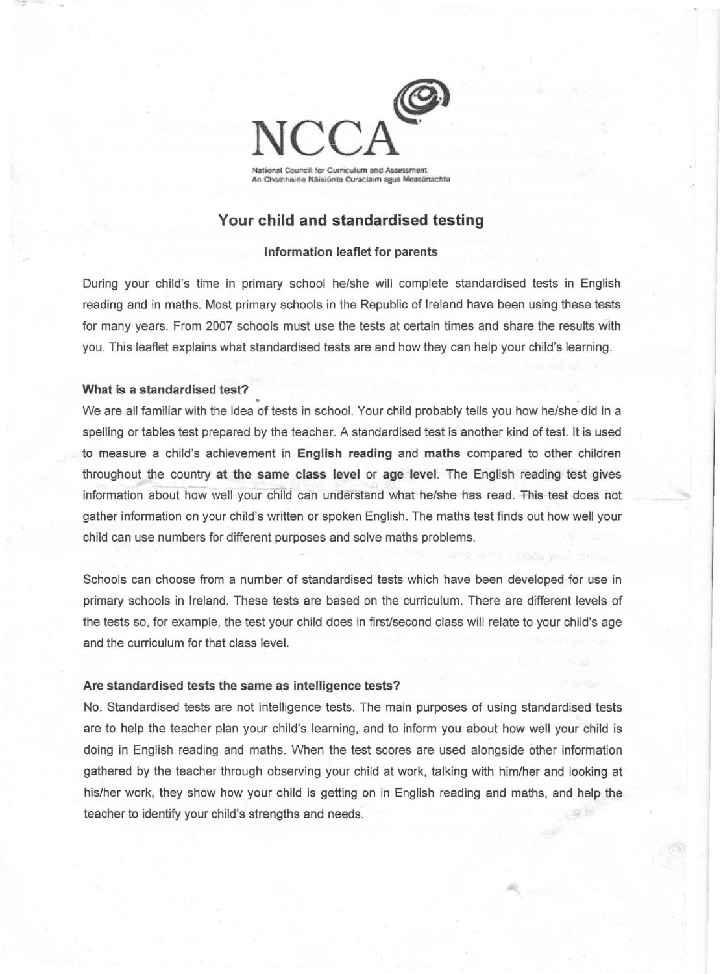

# **Your child and standardised testing**

## **Information leaflet for parents**

During your child's time in primary school he/she will complete standardised tests in English reading and in maths. Most primary schools in the Republic of Ireland have been using these tests for many years. From 2007 schools must use the tests at certain times and share the results with you. This leaflet explains what standardised tests are and how they can help your child's learning.

#### **What is a standardised test?**

We are all familiar with the idea of tests in school. Your child probably tells you how he/she did in a spelling or tables test prepared by the teacher. A standardised test is another kind of test. It is used to measure a child's achievement in **English reading** and **maths** compared to other children throughout the country **at the same class level or age** level. The English reading test gives information about how well your child can understand what he/she has read. This test does not gather information on your child's written or spoken English. The maths test finds out how well your child can use numbers for different purposes and solve maths problems.

Schools can choose from a number of standardised tests which have been developed for use in primary schools in Ireland. These tests are based on the curriculum. There are different levels of the tests so, for example, the test your child does in first/second class will relate to your child's age and the curriculum for that class level.

## **Are standardised tests the same as intelligence tests?**

No. Standardised tests are not intelligence tests. The main purposes of using standardised tests are to help the teacher plan your child's learning, and to inform you about how well your child is doing in English reading and maths. When the test scores are used alongside other information gathered by the teacher through observing your child at work, talking with him/her and looking at his/her work, they show how your child is getting on in English reading and maths, and help the teacher to identify your child's strengths and needs.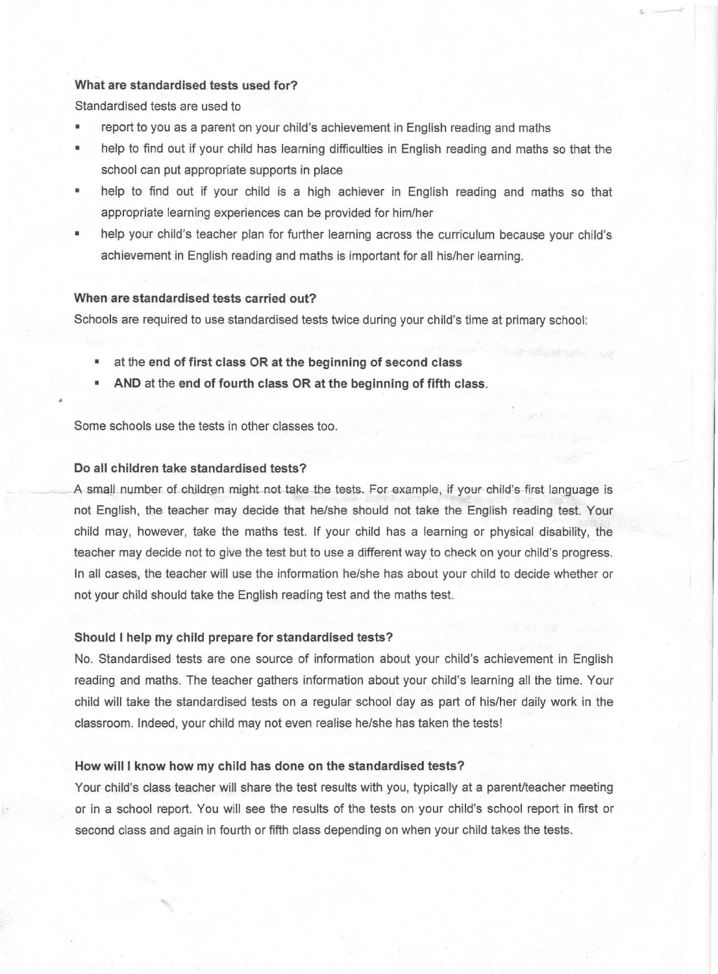## What are standardised tests used for?

Standardised tests are used to

- report to you as a parent on your child's achievement in English reading and maths
- help to find out if your child has learning difficulties in English reading and maths so that the school can put appropriate supports in place
- help to find out if your child is a high achiever in English reading and maths so that appropriate learning experiences can be provided for him/her
- help your child's teacher plan for further learning across the curriculum because your child's achievement in English reading and maths is important for all his/her learning.

## When are standardised tests carried out?

Schools are required to use standardised tests twice during your child's time at primary school:

- at the end of first class OR at the beginning of second class
- AND at the end of fourth class OR at the beginning of fifth class.

Some schools use the tests in other classes too.

### Do all children take standardised tests?

A small number of children might not take the tests. For example, if your child's first language is not English, the teacher may decide that he/she should not take the English reading test. Your child may, however, take the maths test. If your child has a learning or physical disability, the teacher may decide not to give the test but to use a different way to check on your child's progress. In all cases, the teacher will use the information he/she has about your child to decide whether or not your child should take the English reading test and the maths test.

#### Should I help my child prepare for standardised tests?

No. Standardised tests are one source of information about your child's achievement in English reading and maths. The teacher gathers information about your child's learning all the time. Your child will take the standardised tests on a regular school day as part of his/her daily work in the classroom. Indeed, your child may not even realise he/she has taken the tests!

#### How will I know how my child has done on the standardised tests?

Your child's class teacher will share the test results with you, typically at a parent/teacher meeting or in a school report. You will see the results of the tests on your child's school report in first or second class and again in fourth or fifth class depending on when your child takes the tests.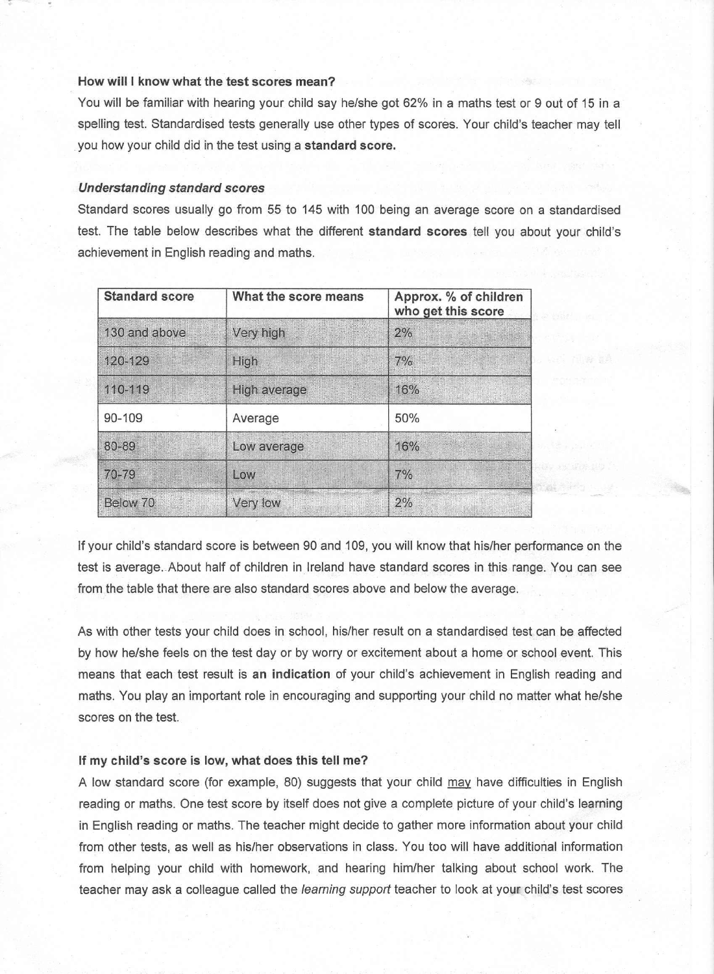## How will I know what the test scores mean?

You will be familiar with hearing your child say he/she got 62% in a maths test or 9 out of 15 in a spelling test. Standardised tests generally use other types of scores. Your child's teacher may tell you how your child did in the test using a standard score.

## *Understanding standard scores*

Standard scores usually go from 55 to 145 with 100 being an average score on a standardised test. The table below describes what the different standard scores tell you about your child's achievement in English reading and maths.

| <b>Standard score</b> | What the score means | Approx. % of children<br>who get this score |
|-----------------------|----------------------|---------------------------------------------|
| 130 and above         | Very high            | 2%                                          |
| 120-129               | High                 | 7%                                          |
| 110-119               | High average         | 16%                                         |
| 90-109                | Average              | 50%                                         |
| 80-89                 | Low average          | 16%                                         |
| 70-79                 | Low                  | 7%                                          |
| Below 70              | Very low             | 2%                                          |

If your child's standard score is between 90 and 109, you will know that his/her performance on the test is average. About half of children in Ireland have standard scores in this range. You can see from the table that there are also standard scores above and below the average.

教養方程

As with other tests your child does in school, his/her result on a standardised test can be affected by how he/she feels on the test day or by worry or excitement about a home or school event. This means that each test result is an indication of your child's achievement in English reading and maths. You play an important role in encouraging and supporting your child no matter what he/she scores on the test.

### If my child's score is low, what does this tell me?

A low standard score (for example, 80) suggests that your child may have difficulties in English reading or maths. One test score by itself does not give a complete picture of your child's learning in English reading or maths. The teacher might decide to gather more information about your child from other tests, as well as his/her observations in class. You too will have additional information from helping your child with homework, and hearing him/her talking about school work. The teacher may ask a colleague called the *learning support* teacher to look at your child's test scores